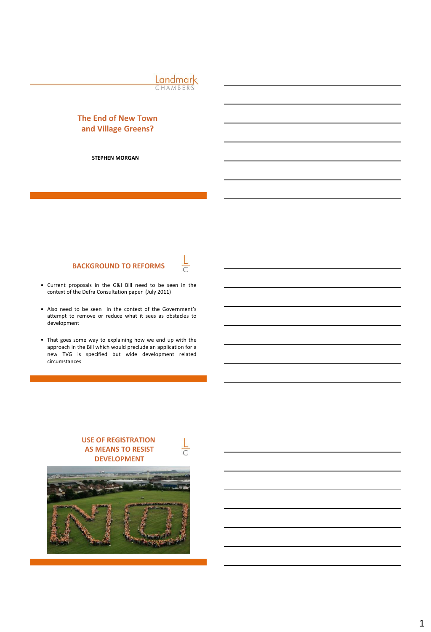Landmark

## **The End of New Town and Village Greens?**

**STEPHEN MORGAN**

## **BACKGROUND TO REFORMS**



- Current proposals in the G&I Bill need to be seen in the context of the Defra Consultation paper (July 2011)
- Also need to be seen in the context of the Government's attempt to remove or reduce what it sees as obstacles to development
- That goes some way to explaining how we end up with the approach in the Bill which would preclude an application for a new TVG is specified but wide development related circumstances

## **USE OF REGISTRATION AS MEANS TO RESIST DEVELOPMENT**

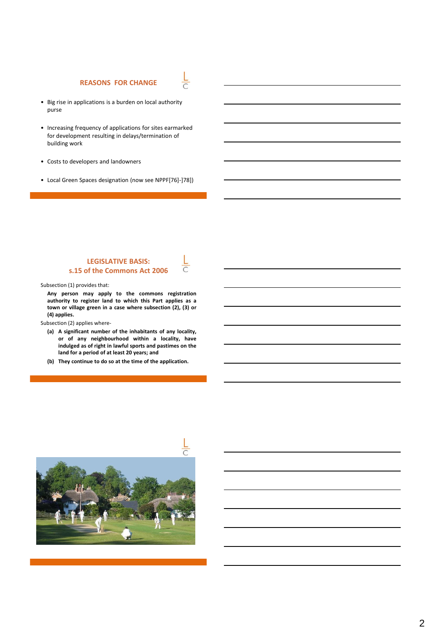### **REASONS FOR CHANGE**

- Big rise in applications is a burden on local authority purse
- Increasing frequency of applications for sites earmarked for development resulting in delays/termination of building work
- Costs to developers and landowners
- Local Green Spaces designation (now see NPPF[76]-]78])

## **LEGISLATIVE BASIS: s.15 of the Commons Act 2006**

Subsection (1) provides that:

**Any person may apply to the commons registration authority to register land to which this Part applies as a town or village green in a case where subsection (2), (3) or (4) applies.**

Subsection (2) applies where-

- **(a) A significant number of the inhabitants of any locality, or of any neighbourhood within a locality, have indulged as of right in lawful sports and pastimes on the land for a period of at least 20 years; and**
- **(b) They continue to do so at the time of the application.**

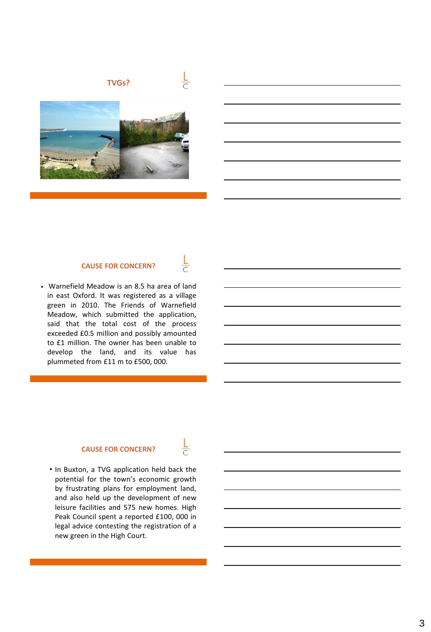# **TVGs?**





#### **CAUSE FOR CONCERN?**

• Warnefield Meadow is an 8.5 ha area of land in east Oxford. It was registered as a village green in 2010. The Friends of Warnefield Meadow, which submitted the application, said that the total cost of the process exceeded £0.5 million and possibly amounted to £1 million. The owner has been unable to develop the land, and its value has plummeted from £11 m to £500, 000.

### **CAUSE FOR CONCERN?**

• In Buxton, a TVG application held back the potential for the town's economic growth by frustrating plans for employment land, and also held up the development of new leisure facilities and 575 new homes. High Peak Council spent a reported £100, 000 in legal advice contesting the registration of a new green in the High Court.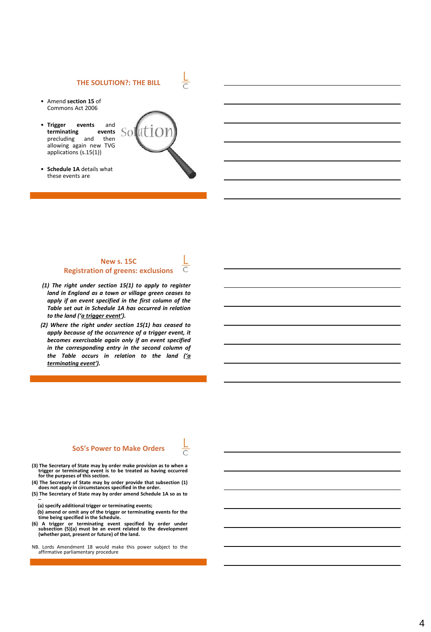## **THE SOLUTION?: THE BILL**

- Amend **section 15** of Commons Act 2006
- **Trigger events** and **terminating events** precluding allowing again new TVG applications (s.15(1))



• **Schedule 1A** details what these events are

#### **New s. 15C Registration of greens: exclusions**

- *(1) The right under section 15(1) to apply to register land in England as a town or village green ceases to apply if an event specified in the first column of the Table set out in Schedule 1A has occurred in relation to the land ('a trigger event').*
- *(2) Where the right under section 15(1) has ceased to apply because of the occurrence of a trigger event, it becomes exercisable again only if an event specified in the corresponding entry in the second column of the Table occurs in relation to the land ('a terminating event').*

#### **SoS's Power to Make Orders**

- (3) The Secretary of State may by order make provision as to when a<br>trigger or terminating event is to be treated as having occurred<br>for the purposes of this section.
- (4) The Secretary of State may by order provide that subsection (1) does not apply in circumstances specified in the order.
- **(5) The Secretary of State may by order amend Schedule 1A so as to –**
	- **(a) specify additional trigger or terminating events;**
- **(b) amend or omit any of the trigger or terminating events for the time being specified in the Schedule.**
- (6) A trigger or terminating event specified by order under<br>subsection (5)(a) must be an event related to the development<br>whether past, present or future) of the land.
- NB. Lords Amendment 18 would make this power subject to the affirmative parliamentary procedure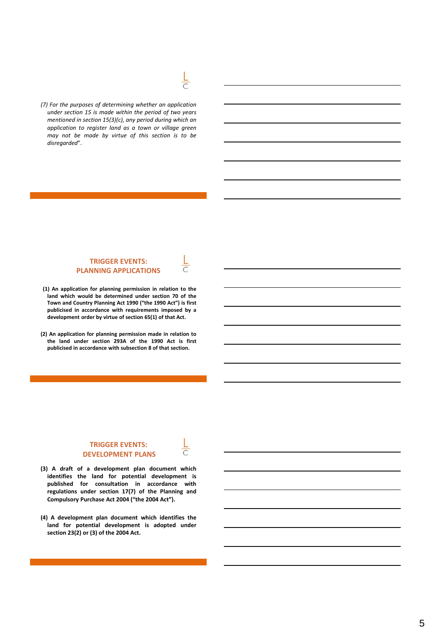*(7) For the purposes of determining whether an application under section 15 is made within the period of two years mentioned in section 15(3)(c), any period during which an application to register land as a town or village green may not be made by virtue of this section is to be disregarded*".

## **TRIGGER EVENTS: PLANNING APPLICATIONS**

- **(1) An application for planning permission in relation to the land which would be determined under section 70 of the Town and Country Planning Act 1990 ("the 1990 Act") is first publicised in accordance with requirements imposed by a development order by virtue of section 65(1) of that Act.**
- **(2) An application for planning permission made in relation to the land under section 293A of the 1990 Act is first publicised in accordance with subsection 8 of that section.**

## **TRIGGER EVENTS: DEVELOPMENT PLANS**



- **(3) A draft of a development plan document which identifies the land for potential development is published for consultation in accordance with regulations under section 17(7) of the Planning and Compulsory Purchase Act 2004 ("the 2004 Act").**
- **(4) A development plan document which identifies the land for potential development is adopted under section 23(2) or (3) of the 2004 Act.**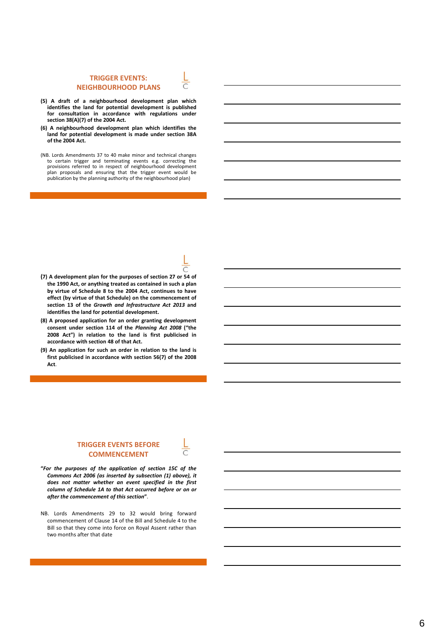#### **TRIGGER EVENTS: NEIGHBOURHOOD PLANS**

- **(5) A draft of a neighbourhood development plan which identifies the land for potential development is published for consultation in accordance with regulations under section 38(A)(7) of the 2004 Act.**
- **(6) A neighbourhood development plan which identifies the land for potential development is made under section 38A of the 2004 Act.**
- (NB. Lords Amendments 37 to 40 make minor and technical changes to certain trigger and terminating events e.g. correcting the provisions referred to in respect of neighbourhood development plan proposals and ensuring that the trigger event would be publication by the planning authority of the neighbourhood plan)

- **(7) A development plan for the purposes of section 27 or 54 of the 1990 Act, or anything treated as contained in such a plan by virtue of Schedule 8 to the 2004 Act, continues to have effect (by virtue of that Schedule) on the commencement of section 13 of the** *Growth and Infrastructure Act 2013* **and identifies the land for potential development.**
- **(8) A proposed application for an order granting development consent under section 114 of the** *Planning Act 2008* **("the 2008 Act") in relation to the land is first publicised in accordance with section 48 of that Act.**
- **(9) An application for such an order in relation to the land is first publicised in accordance with section 56(7) of the 2008 Act**.

## **TRIGGER EVENTS BEFORE COMMENCEMENT**

**"***For the purposes of the application of section 15C of the Commons Act 2006 (as inserted by subsection (1) above), it does not matter whether an event specified in the first column of Schedule 1A to that Act occurred before or on or after the commencement of this section***"**.

NB. Lords Amendments 29 to 32 would bring forward commencement of Clause 14 of the Bill and Schedule 4 to the Bill so that they come into force on Royal Assent rather than two months after that date